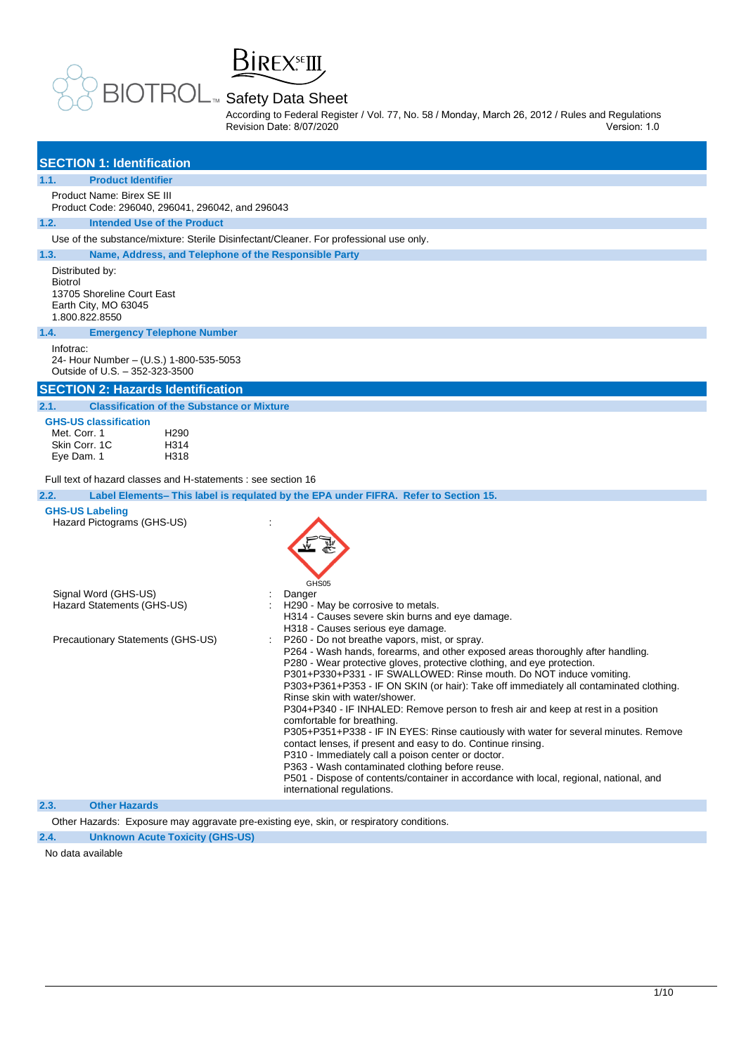**BIREX** FIII

According to Federal Register / Vol. 77, No. 58 / Monday, March 26, 2012 / Rules and Regulations Revision Date: 8/07/2020 Version: 1.0

| <b>SECTION 1: Identification</b>                                                                                                                                                 |                                                                                                                                                                                                                                                                                                                                                                                                                                                                                                                                                                                                                                                                                                                                                                                                                                                                                                                           |
|----------------------------------------------------------------------------------------------------------------------------------------------------------------------------------|---------------------------------------------------------------------------------------------------------------------------------------------------------------------------------------------------------------------------------------------------------------------------------------------------------------------------------------------------------------------------------------------------------------------------------------------------------------------------------------------------------------------------------------------------------------------------------------------------------------------------------------------------------------------------------------------------------------------------------------------------------------------------------------------------------------------------------------------------------------------------------------------------------------------------|
| <b>Product Identifier</b><br>1.1.                                                                                                                                                |                                                                                                                                                                                                                                                                                                                                                                                                                                                                                                                                                                                                                                                                                                                                                                                                                                                                                                                           |
| Product Name: Birex SE III<br>Product Code: 296040, 296041, 296042, and 296043                                                                                                   |                                                                                                                                                                                                                                                                                                                                                                                                                                                                                                                                                                                                                                                                                                                                                                                                                                                                                                                           |
| 1.2.<br><b>Intended Use of the Product</b>                                                                                                                                       |                                                                                                                                                                                                                                                                                                                                                                                                                                                                                                                                                                                                                                                                                                                                                                                                                                                                                                                           |
| Use of the substance/mixture: Sterile Disinfectant/Cleaner. For professional use only.                                                                                           |                                                                                                                                                                                                                                                                                                                                                                                                                                                                                                                                                                                                                                                                                                                                                                                                                                                                                                                           |
| 1.3.<br>Name, Address, and Telephone of the Responsible Party                                                                                                                    |                                                                                                                                                                                                                                                                                                                                                                                                                                                                                                                                                                                                                                                                                                                                                                                                                                                                                                                           |
| Distributed by:<br><b>Biotrol</b><br>13705 Shoreline Court East<br>Earth City, MO 63045<br>1.800.822.8550                                                                        |                                                                                                                                                                                                                                                                                                                                                                                                                                                                                                                                                                                                                                                                                                                                                                                                                                                                                                                           |
| <b>Emergency Telephone Number</b><br>1.4.                                                                                                                                        |                                                                                                                                                                                                                                                                                                                                                                                                                                                                                                                                                                                                                                                                                                                                                                                                                                                                                                                           |
| Infotrac:<br>24- Hour Number - (U.S.) 1-800-535-5053<br>Outside of U.S. - 352-323-3500                                                                                           |                                                                                                                                                                                                                                                                                                                                                                                                                                                                                                                                                                                                                                                                                                                                                                                                                                                                                                                           |
| <b>SECTION 2: Hazards Identification</b>                                                                                                                                         |                                                                                                                                                                                                                                                                                                                                                                                                                                                                                                                                                                                                                                                                                                                                                                                                                                                                                                                           |
| <b>Classification of the Substance or Mixture</b><br>2.1.                                                                                                                        |                                                                                                                                                                                                                                                                                                                                                                                                                                                                                                                                                                                                                                                                                                                                                                                                                                                                                                                           |
| <b>GHS-US classification</b><br>Met. Corr. 1<br>H <sub>290</sub><br>Skin Corr. 1C<br>H314<br>Eye Dam. 1<br>H318<br>Full text of hazard classes and H-statements : see section 16 |                                                                                                                                                                                                                                                                                                                                                                                                                                                                                                                                                                                                                                                                                                                                                                                                                                                                                                                           |
| 2.2.                                                                                                                                                                             | Label Elements– This label is requiated by the EPA under FIFRA. Refer to Section 15.                                                                                                                                                                                                                                                                                                                                                                                                                                                                                                                                                                                                                                                                                                                                                                                                                                      |
| <b>GHS-US Labeling</b><br>Hazard Pictograms (GHS-US)                                                                                                                             | ÷<br>GHS05                                                                                                                                                                                                                                                                                                                                                                                                                                                                                                                                                                                                                                                                                                                                                                                                                                                                                                                |
| Signal Word (GHS-US)<br>Hazard Statements (GHS-US)                                                                                                                               | Danger<br>H290 - May be corrosive to metals.<br>H314 - Causes severe skin burns and eye damage.<br>H318 - Causes serious eye damage.                                                                                                                                                                                                                                                                                                                                                                                                                                                                                                                                                                                                                                                                                                                                                                                      |
| Precautionary Statements (GHS-US)                                                                                                                                                | P260 - Do not breathe vapors, mist, or spray.<br>P264 - Wash hands, forearms, and other exposed areas thoroughly after handling.<br>P280 - Wear protective gloves, protective clothing, and eye protection.<br>P301+P330+P331 - IF SWALLOWED: Rinse mouth. Do NOT induce vomiting.<br>P303+P361+P353 - IF ON SKIN (or hair): Take off immediately all contaminated clothing.<br>Rinse skin with water/shower.<br>P304+P340 - IF INHALED: Remove person to fresh air and keep at rest in a position<br>comfortable for breathing.<br>P305+P351+P338 - IF IN EYES: Rinse cautiously with water for several minutes. Remove<br>contact lenses, if present and easy to do. Continue rinsing.<br>P310 - Immediately call a poison center or doctor.<br>P363 - Wash contaminated clothing before reuse.<br>P501 - Dispose of contents/container in accordance with local, regional, national, and<br>international regulations. |
|                                                                                                                                                                                  |                                                                                                                                                                                                                                                                                                                                                                                                                                                                                                                                                                                                                                                                                                                                                                                                                                                                                                                           |

**2.3. Other Hazards**

Other Hazards: Exposure may aggravate pre-existing eye, skin, or respiratory conditions.

## **2.4. Unknown Acute Toxicity (GHS-US)**

No data available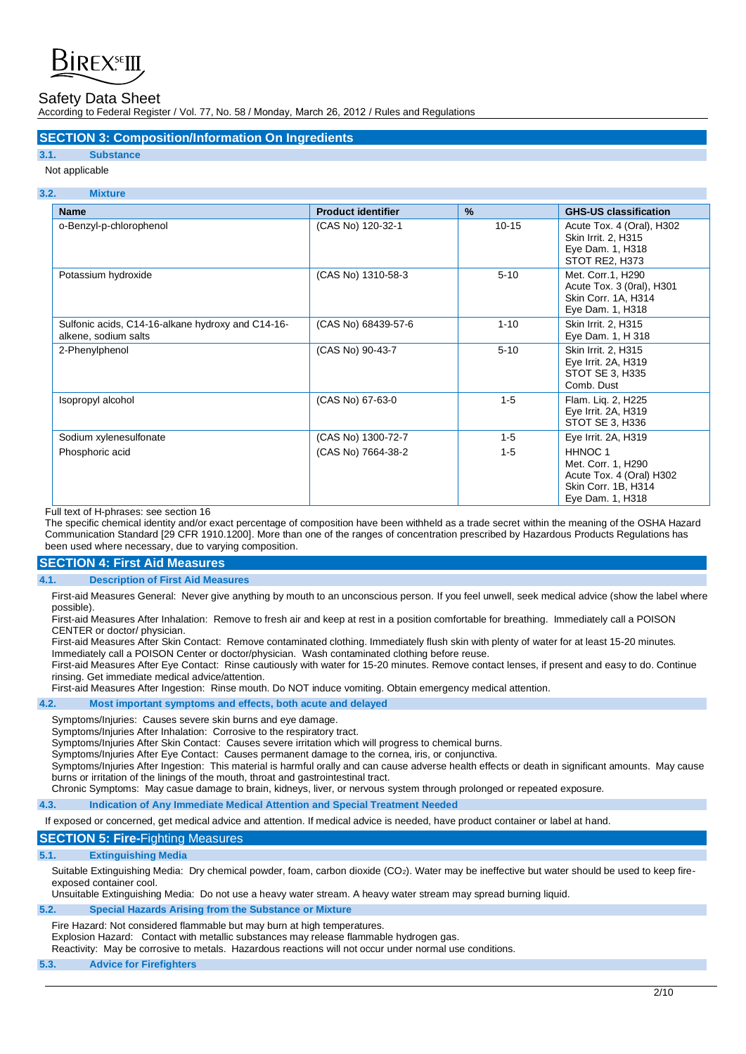

According to Federal Register / Vol. 77, No. 58 / Monday, March 26, 2012 / Rules and Regulations

## **SECTION 3: Composition/Information On Ingredients**

## **3.1. Substance**

Not applicable

## **3.2. Mixture**

| <b>Name</b>                                                               | <b>Product identifier</b> | $\frac{9}{6}$ | <b>GHS-US classification</b>                                                                                    |
|---------------------------------------------------------------------------|---------------------------|---------------|-----------------------------------------------------------------------------------------------------------------|
| o-Benzyl-p-chlorophenol                                                   | (CAS No) 120-32-1         | $10 - 15$     | Acute Tox. 4 (Oral), H302<br>Skin Irrit. 2, H315<br>Eye Dam. 1, H318<br>STOT RE2, H373                          |
| Potassium hydroxide                                                       | (CAS No) 1310-58-3        | $5 - 10$      | Met. Corr.1, H290<br>Acute Tox. 3 (0ral), H301<br>Skin Corr. 1A, H314<br>Eye Dam. 1, H318                       |
| Sulfonic acids, C14-16-alkane hydroxy and C14-16-<br>alkene, sodium salts | (CAS No) 68439-57-6       | $1 - 10$      | Skin Irrit. 2, H315<br>Eye Dam. 1, H 318                                                                        |
| 2-Phenylphenol                                                            | (CAS No) 90-43-7          | $5 - 10$      | Skin Irrit. 2, H315<br>Eye Irrit. 2A, H319<br>STOT SE 3, H335<br>Comb. Dust                                     |
| Isopropyl alcohol                                                         | (CAS No) 67-63-0          | $1 - 5$       | Flam. Lig. 2, H225<br>Eye Irrit. 2A, H319<br>STOT SE 3, H336                                                    |
| Sodium xylenesulfonate                                                    | (CAS No) 1300-72-7        | $1 - 5$       | Eye Irrit. 2A, H319                                                                                             |
| Phosphoric acid                                                           | (CAS No) 7664-38-2        | $1 - 5$       | HHNOC <sub>1</sub><br>Met. Corr. 1, H290<br>Acute Tox. 4 (Oral) H302<br>Skin Corr. 1B, H314<br>Eye Dam. 1, H318 |

Full text of H-phrases: see section 16

The specific chemical identity and/or exact percentage of composition have been withheld as a trade secret within the meaning of the OSHA Hazard Communication Standard [29 CFR 1910.1200]. More than one of the ranges of concentration prescribed by Hazardous Products Regulations has been used where necessary, due to varying composition.

## **SECTION 4: First Aid Measures**

#### **4.1. Description of First Aid Measures**

First-aid Measures General: Never give anything by mouth to an unconscious person. If you feel unwell, seek medical advice (show the label where possible).

First-aid Measures After Inhalation: Remove to fresh air and keep at rest in a position comfortable for breathing. Immediately call a POISON CENTER or doctor/ physician.

First-aid Measures After Skin Contact: Remove contaminated clothing. Immediately flush skin with plenty of water for at least 15-20 minutes. Immediately call a POISON Center or doctor/physician. Wash contaminated clothing before reuse.

First-aid Measures After Eye Contact: Rinse cautiously with water for 15-20 minutes. Remove contact lenses, if present and easy to do. Continue rinsing. Get immediate medical advice/attention.

First-aid Measures After Ingestion: Rinse mouth. Do NOT induce vomiting. Obtain emergency medical attention.

**4.2. Most important symptoms and effects, both acute and delayed** 

Symptoms/Injuries: Causes severe skin burns and eye damage.

Symptoms/Injuries After Inhalation: Corrosive to the respiratory tract.

Symptoms/Injuries After Skin Contact: Causes severe irritation which will progress to chemical burns.

Symptoms/Injuries After Eye Contact: Causes permanent damage to the cornea, iris, or conjunctiva.

Symptoms/Injuries After Ingestion: This material is harmful orally and can cause adverse health effects or death in significant amounts. May cause burns or irritation of the linings of the mouth, throat and gastrointestinal tract.

Chronic Symptoms: May casue damage to brain, kidneys, liver, or nervous system through prolonged or repeated exposure.

## **4.3. Indication of Any Immediate Medical Attention and Special Treatment Needed**

If exposed or concerned, get medical advice and attention. If medical advice is needed, have product container or label at hand.

## **SECTION 5: Fire-**Fighting Measures

#### **5.1. Extinguishing Media**

Suitable Extinguishing Media: Dry chemical powder, foam, carbon dioxide (CO<sub>2</sub>). Water may be ineffective but water should be used to keep fireexposed container cool.

Unsuitable Extinguishing Media: Do not use a heavy water stream. A heavy water stream may spread burning liquid.

#### **5.2. Special Hazards Arising from the Substance or Mixture**

#### Fire Hazard: Not considered flammable but may burn at high temperatures.

Explosion Hazard: Contact with metallic substances may release flammable hydrogen gas.

Reactivity: May be corrosive to metals. Hazardous reactions will not occur under normal use conditions.

## **5.3. Advice for Firefighters**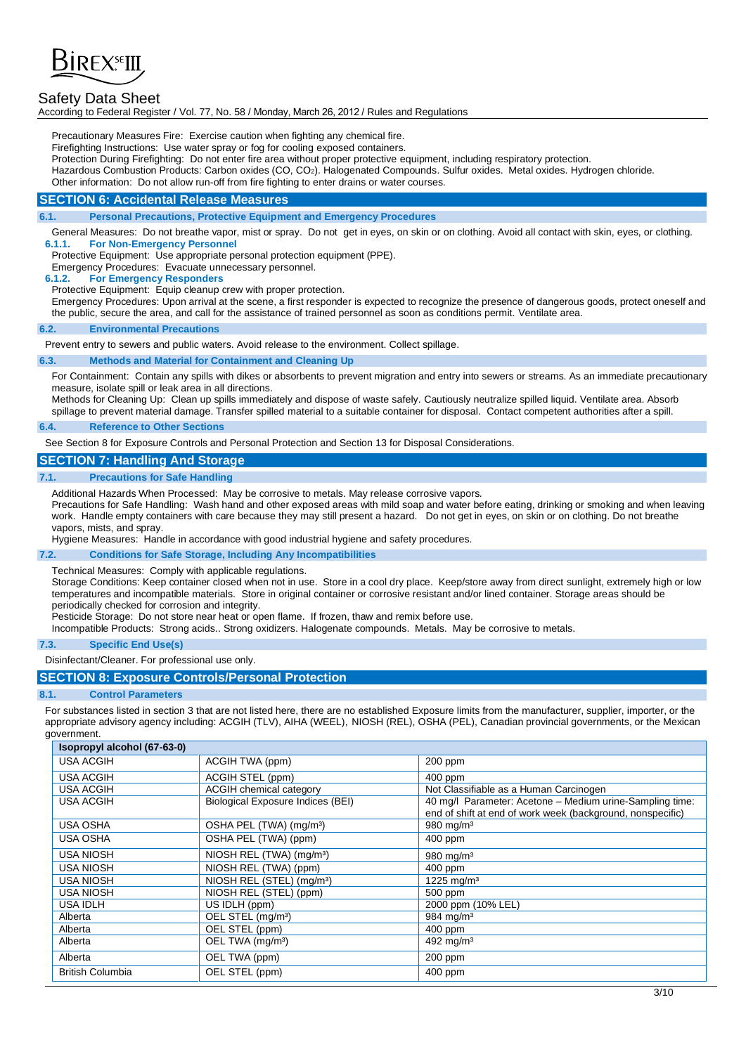

According to Federal Register / Vol. 77, No. 58 / Monday, March 26, 2012 / Rules and Regulations

Precautionary Measures Fire: Exercise caution when fighting any chemical fire.

Firefighting Instructions: Use water spray or fog for cooling exposed containers.

Protection During Firefighting: Do not enter fire area without proper protective equipment, including respiratory protection.

Hazardous Combustion Products: Carbon oxides (CO, CO2). Halogenated Compounds. Sulfur oxides. Metal oxides. Hydrogen chloride.

Other information: Do not allow run-off from fire fighting to enter drains or water courses.

## **SECTION 6: Accidental Release Measures**

#### **6.1. Personal Precautions, Protective Equipment and Emergency Procedures**

General Measures: Do not breathe vapor, mist or spray. Do not get in eyes, on skin or on clothing. Avoid all contact with skin, eyes, or clothing. **6.1.1. For Non-Emergency Personnel**

Protective Equipment: Use appropriate personal protection equipment (PPE).

Emergency Procedures: Evacuate unnecessary personnel.

**6.1.2. For Emergency Responders**

Protective Equipment: Equip cleanup crew with proper protection.

Emergency Procedures: Upon arrival at the scene, a first responder is expected to recognize the presence of dangerous goods, protect oneself and the public, secure the area, and call for the assistance of trained personnel as soon as conditions permit. Ventilate area.

#### **6.2. Environmental Precautions**

Prevent entry to sewers and public waters. Avoid release to the environment. Collect spillage.

#### **6.3. Methods and Material for Containment and Cleaning Up**

For Containment: Contain any spills with dikes or absorbents to prevent migration and entry into sewers or streams. As an immediate precautionary measure, isolate spill or leak area in all directions.

Methods for Cleaning Up: Clean up spills immediately and dispose of waste safely. Cautiously neutralize spilled liquid. Ventilate area. Absorb spillage to prevent material damage. Transfer spilled material to a suitable container for disposal. Contact competent authorities after a spill.

#### **6.4. Reference to Other Sections**

See Section 8 for Exposure Controls and Personal Protection and Section 13 for Disposal Considerations.

## **SECTION 7: Handling And Storage**

#### **7.1. Precautions for Safe Handling**

Additional Hazards When Processed: May be corrosive to metals. May release corrosive vapors.

Precautions for Safe Handling: Wash hand and other exposed areas with mild soap and water before eating, drinking or smoking and when leaving work. Handle empty containers with care because they may still present a hazard. Do not get in eyes, on skin or on clothing. Do not breathe vapors, mists, and spray.

Hygiene Measures: Handle in accordance with good industrial hygiene and safety procedures.

## **7.2. Conditions for Safe Storage, Including Any Incompatibilities**

Technical Measures: Comply with applicable regulations.

Storage Conditions: Keep container closed when not in use. Store in a cool dry place. Keep/store away from direct sunlight, extremely high or low temperatures and incompatible materials. Store in original container or corrosive resistant and/or lined container. Storage areas should be periodically checked for corrosion and integrity.

Pesticide Storage: Do not store near heat or open flame. If frozen, thaw and remix before use.

Incompatible Products: Strong acids.. Strong oxidizers. Halogenate compounds. Metals. May be corrosive to metals.

#### **7.3. Specific End Use(s)**

Disinfectant/Cleaner. For professional use only.

## **SECTION 8: Exposure Controls/Personal Protection**

#### **8.1. Control Parameters**

For substances listed in section 3 that are not listed here, there are no established Exposure limits from the manufacturer, supplier, importer, or the appropriate advisory agency including: ACGIH (TLV), AIHA (WEEL), NIOSH (REL), OSHA (PEL), Canadian provincial governments, or the Mexican government.

| Isopropyl alcohol (67-63-0) |                                       |                                                                                                                        |
|-----------------------------|---------------------------------------|------------------------------------------------------------------------------------------------------------------------|
| <b>USA ACGIH</b>            | ACGIH TWA (ppm)                       | $200$ ppm                                                                                                              |
| <b>USA ACGIH</b>            | ACGIH STEL (ppm)                      | $400$ ppm                                                                                                              |
| <b>USA ACGIH</b>            | ACGIH chemical category               | Not Classifiable as a Human Carcinogen                                                                                 |
| <b>USA ACGIH</b>            | Biological Exposure Indices (BEI)     | 40 mg/l Parameter: Acetone - Medium urine-Sampling time:<br>end of shift at end of work week (background, nonspecific) |
| <b>USA OSHA</b>             | OSHA PEL (TWA) (mg/m <sup>3</sup> )   | 980 mg/m $3$                                                                                                           |
| USA OSHA                    | OSHA PEL (TWA) (ppm)                  | 400 ppm                                                                                                                |
| <b>USA NIOSH</b>            | NIOSH REL (TWA) (mg/m <sup>3</sup> )  | 980 mg/m $3$                                                                                                           |
| <b>USA NIOSH</b>            | NIOSH REL (TWA) (ppm)                 | $400$ ppm                                                                                                              |
| <b>USA NIOSH</b>            | NIOSH REL (STEL) (mg/m <sup>3</sup> ) | 1225 mg/m <sup>3</sup>                                                                                                 |
| <b>USA NIOSH</b>            | NIOSH REL (STEL) (ppm)                | 500 ppm                                                                                                                |
| <b>USA IDLH</b>             | US IDLH (ppm)                         | 2000 ppm (10% LEL)                                                                                                     |
| Alberta                     | OEL STEL (mg/m <sup>3</sup> )         | 984 mg/m <sup>3</sup>                                                                                                  |
| Alberta                     | OEL STEL (ppm)                        | 400 ppm                                                                                                                |
| Alberta                     | OEL TWA (mg/m <sup>3</sup> )          | 492 mg/m <sup>3</sup>                                                                                                  |
| Alberta                     | OEL TWA (ppm)                         | $200$ ppm                                                                                                              |
| <b>British Columbia</b>     | OEL STEL (ppm)                        | 400 ppm                                                                                                                |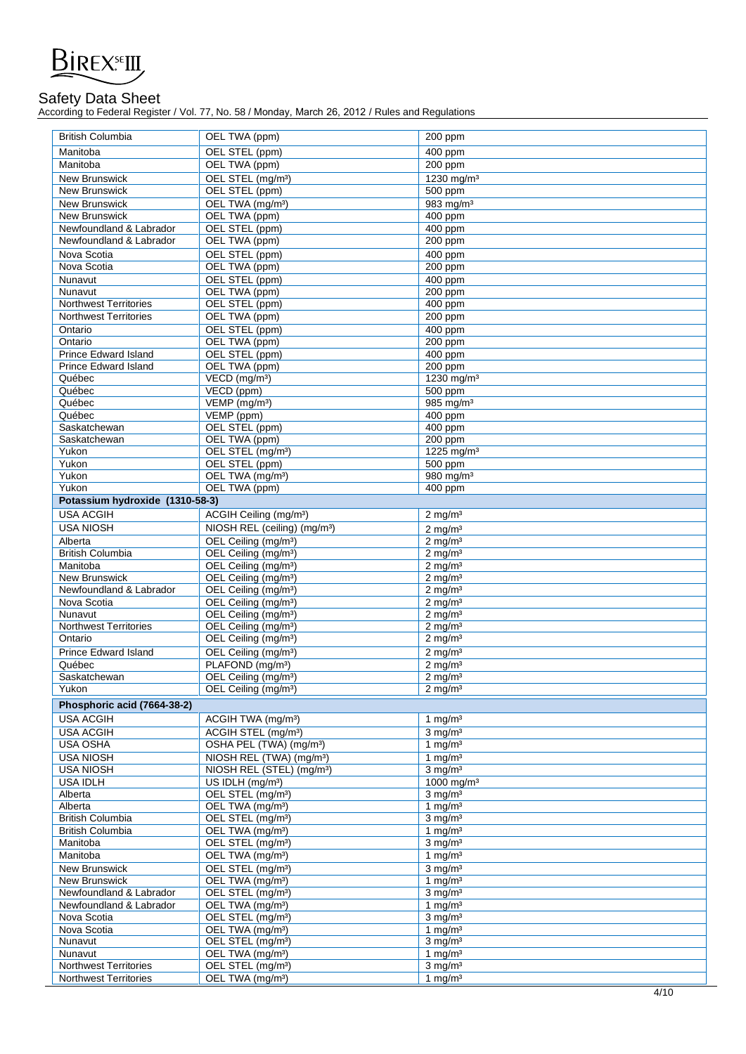

According to Federal Register / Vol. 77, No. 58 / Monday, March 26, 2012 / Rules and Regulations

| <b>British Columbia</b>                | OEL TWA (ppm)                                                        | 200 ppm                                  |
|----------------------------------------|----------------------------------------------------------------------|------------------------------------------|
| Manitoba                               | OEL STEL (ppm)                                                       | $400$ ppm                                |
| Manitoba                               | OEL TWA (ppm)                                                        | 200 ppm                                  |
| <b>New Brunswick</b>                   | OEL STEL (mg/m <sup>3</sup> )                                        | 1230 mg/m <sup>3</sup>                   |
| <b>New Brunswick</b>                   | OEL STEL (ppm)                                                       | $500$ ppm                                |
| New Brunswick                          | OEL TWA (mg/m <sup>3</sup> )                                         | 983 mg/m <sup>3</sup>                    |
| <b>New Brunswick</b>                   | OEL TWA (ppm)                                                        | 400 ppm                                  |
| Newfoundland & Labrador                | OEL STEL (ppm)                                                       | 400 ppm                                  |
| Newfoundland & Labrador                | OEL TWA (ppm)                                                        | 200 ppm                                  |
| Nova Scotia                            | OEL STEL (ppm)                                                       | 400 ppm                                  |
| Nova Scotia                            | OEL TWA (ppm)                                                        | 200 ppm                                  |
| Nunavut                                | <b>OEL STEL (ppm)</b>                                                | 400 ppm                                  |
| Nunavut                                | OEL TWA (ppm)                                                        | $200$ ppm                                |
| <b>Northwest Territories</b>           | OEL STEL (ppm)                                                       | 400 ppm                                  |
| <b>Northwest Territories</b>           | OEL TWA (ppm)                                                        | $200$ ppm                                |
| Ontario                                | OEL STEL (ppm)                                                       | 400 ppm                                  |
| Ontario                                | OEL TWA (ppm)                                                        | 200 ppm                                  |
| <b>Prince Edward Island</b>            | OEL STEL (ppm)                                                       | 400 ppm                                  |
| Prince Edward Island                   | OEL TWA (ppm)<br>VECD (mg/m <sup>3</sup> )                           | 200 ppm                                  |
| Québec<br>Québec                       | VECD (ppm)                                                           | 1230 mg/m <sup>3</sup><br>$500$ ppm      |
| Québec                                 | VEMP (mg/m <sup>3</sup> )                                            | 985 mg/m <sup>3</sup>                    |
| Québec                                 | VEMP (ppm)                                                           | 400 ppm                                  |
| Saskatchewan                           | OEL STEL (ppm)                                                       | 400 ppm                                  |
| Saskatchewan                           | OEL TWA (ppm)                                                        | 200 ppm                                  |
| Yukon                                  | OEL STEL (mg/m <sup>3</sup> )                                        | 1225 mg/m <sup>3</sup>                   |
| Yukon                                  | OEL STEL (ppm)                                                       | 500 ppm                                  |
| Yukon                                  | OEL TWA (mg/m <sup>3</sup> )                                         | 980 mg/m <sup>3</sup>                    |
| Yukon                                  | OEL TWA (ppm)                                                        | 400 ppm                                  |
| Potassium hydroxide (1310-58-3)        |                                                                      |                                          |
| <b>USA ACGIH</b>                       | ACGIH Ceiling (mg/m <sup>3</sup> )                                   | $2 \text{ mg/m}^3$                       |
| <b>USA NIOSH</b>                       | NIOSH REL (ceiling) (mg/m <sup>3</sup> )                             | $2$ mg/m <sup>3</sup>                    |
| Alberta                                | OEL Ceiling (mg/m <sup>3</sup> )                                     | $2 \text{ mg/m}^3$                       |
| <b>British Columbia</b>                | OEL Ceiling (mg/m <sup>3</sup> )                                     | $2$ mg/m <sup>3</sup>                    |
| Manitoba                               | OEL Ceiling (mg/m <sup>3</sup> )                                     | $2$ mg/m <sup>3</sup>                    |
| <b>New Brunswick</b>                   | OEL Ceiling (mg/m <sup>3</sup> )                                     | $2 \overline{\text{mg}}/\text{m}^3$      |
| Newfoundland & Labrador<br>Nova Scotia | OEL Ceiling (mg/m <sup>3</sup> )<br>OEL Ceiling (mg/m <sup>3</sup> ) | $2 \text{ mg/m}^3$<br>$2 \text{ mg/m}^3$ |
| Nunavut                                | OEL Ceiling (mg/m <sup>3</sup> )                                     | $2 \text{ ma/m}^3$                       |
| <b>Northwest Territories</b>           | OEL Ceiling (mg/m <sup>3</sup> )                                     | $2 \text{ mg/m}^3$                       |
| Ontario                                | OEL Ceiling (mg/m <sup>3</sup> )                                     | $2$ mg/m <sup>3</sup>                    |
| <b>Prince Edward Island</b>            | OEL Ceiling (mg/m <sup>3</sup> )                                     | $2 \text{ mg/m}^3$                       |
| Québec                                 | PLAFOND (mg/m <sup>3</sup> )                                         | $2$ mg/m <sup>3</sup>                    |
| Saskatchewan                           | OEL Ceiling (mg/m <sup>3</sup> )                                     | $2 \text{ mg/m}^3$                       |
| Yukon                                  | OEL Ceiling (mg/m <sup>3</sup> )                                     | $2 \text{ mg/m}^3$                       |
| Phosphoric acid (7664-38-2)            |                                                                      |                                          |
| <b>USA ACGIH</b>                       | ACGIH TWA (mg/m <sup>3</sup> )                                       | 1 mg/ $m3$                               |
| <b>USA ACGIH</b>                       | ACGIH STEL (mg/m <sup>3</sup> )                                      | $3 \text{ mg/m}^3$                       |
| USA OSHA                               | OSHA PEL (TWA) (mg/m <sup>3</sup> )                                  | 1 mg/m $3$                               |
| <b>USA NIOSH</b>                       | NIOSH REL (TWA) (mg/m <sup>3</sup> )                                 | 1 mg/ $m3$                               |
| <b>USA NIOSH</b>                       | NIOSH REL (STEL) (mg/m <sup>3</sup> )                                | $3$ mg/m <sup>3</sup>                    |
| <b>USA IDLH</b>                        | US IDLH (mg/m <sup>3</sup> )                                         | 1000 mg/m <sup>3</sup>                   |
| Alberta                                | OEL STEL (mg/m <sup>3</sup> )                                        | $3$ mg/m <sup>3</sup>                    |
| Alberta                                | OEL TWA (mg/m <sup>3</sup> )                                         | 1 mg/m $3$                               |
| <b>British Columbia</b>                | OEL STEL (mg/m <sup>3</sup> )                                        | $3 \text{ mg/m}^3$                       |
| <b>British Columbia</b><br>Manitoba    | OEL TWA (mg/m <sup>3</sup> )<br>OEL STEL (mg/m <sup>3</sup> )        | 1 mg/ $m3$<br>$3$ mg/m <sup>3</sup>      |
| Manitoba                               | OEL TWA (mg/m <sup>3</sup> )                                         | 1 mg/m <sup>3</sup>                      |
| New Brunswick                          | OEL STEL (mg/m <sup>3</sup> )                                        | $3 \text{ mg/m}^3$                       |
| New Brunswick                          | OEL TWA (mg/m <sup>3</sup> )                                         | 1 mg/ $m3$                               |
| Newfoundland & Labrador                | OEL STEL (mg/m <sup>3</sup> )                                        | $3 \text{ mg/m}^3$                       |
| Newfoundland & Labrador                | OEL TWA (mg/m <sup>3</sup> )                                         | 1 mg/m $3$                               |
| Nova Scotia                            | OEL STEL (mg/m <sup>3</sup> )                                        | $3 \text{ mg/m}^3$                       |
| Nova Scotia                            | OEL TWA (mg/m <sup>3</sup> )                                         | 1 $mq/m3$                                |
| Nunavut                                | OEL STEL (mg/m <sup>3</sup> )                                        | $3$ mg/m <sup>3</sup>                    |
| Nunavut                                | OEL TWA (mg/m <sup>3</sup> )                                         | 1 mg/m $3$                               |
| <b>Northwest Territories</b>           | OEL STEL (mg/m <sup>3</sup> )                                        | $3$ mg/m <sup>3</sup>                    |
| <b>Northwest Territories</b>           | OEL TWA (mg/m <sup>3</sup> )                                         | 1 mg/ $m3$                               |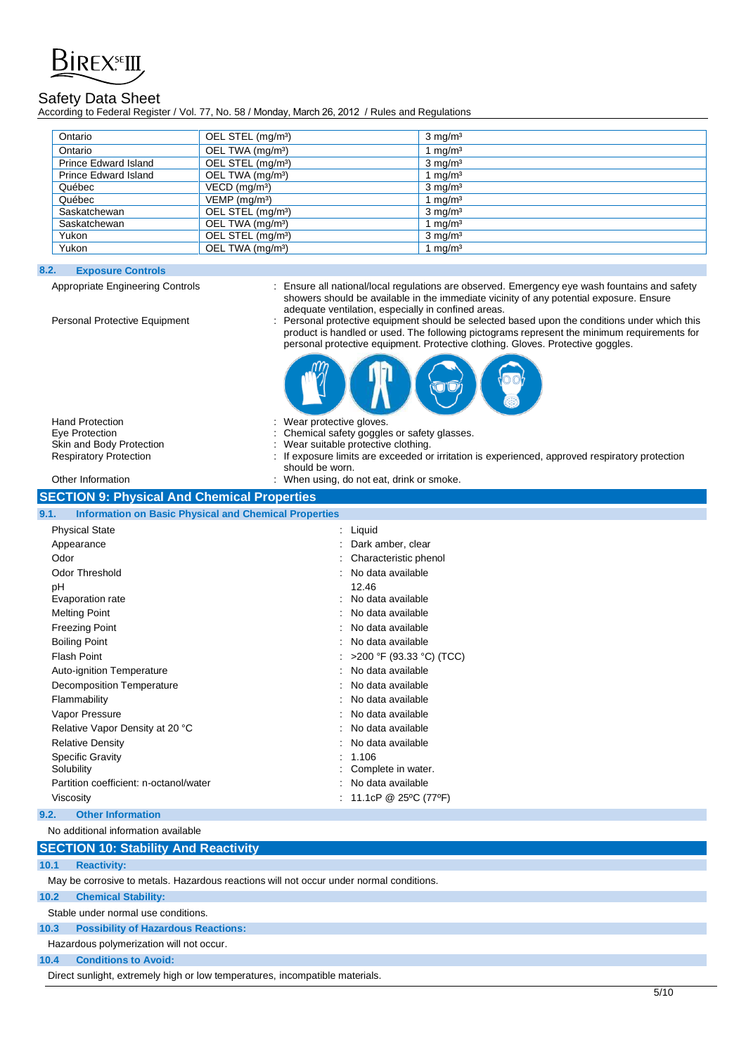

According to Federal Register / Vol. 77, No. 58 / Monday, March 26, 2012 / Rules and Regulations

| Ontario                     | OEL STEL (mg/m <sup>3</sup> ) | $3 \text{ mg/m}^3$ |
|-----------------------------|-------------------------------|--------------------|
| Ontario                     | OEL TWA (mg/m <sup>3</sup> )  | mq/m <sup>3</sup>  |
| <b>Prince Edward Island</b> | OEL STEL (mg/m <sup>3</sup> ) | $3 \text{ mg/m}^3$ |
| <b>Prince Edward Island</b> | OEL TWA (mg/m <sup>3</sup> )  | mq/m <sup>3</sup>  |
| Québec                      | $VECD$ (mg/m <sup>3</sup> )   | $3 \text{ mg/m}^3$ |
| Québec                      | $VEMP$ (mg/m <sup>3</sup> )   | mq/m <sup>3</sup>  |
| Saskatchewan                | OEL STEL (mg/m <sup>3</sup> ) | $3 \text{ mg/m}^3$ |
| Saskatchewan                | OEL TWA (mg/m <sup>3</sup> )  | mq/m <sup>3</sup>  |
| Yukon                       | OEL STEL (mg/m <sup>3</sup> ) | $3 \text{ mg/m}^3$ |
| Yukon                       | OEL TWA (mg/m <sup>3</sup> )  | mg/m <sup>3</sup>  |

## **8.2. Exposure Controls**

Appropriate Engineering Controls : Ensure all national/local regulations are observed. Emergency eye wash fountains and safety showers should be available in the immediate vicinity of any potential exposure. Ensure adequate ventilation, especially in confined areas.

Personal Protective Equipment : Personal protective equipment should be selected based upon the conditions under which this product is handled or used. The following pictograms represent the minimum requirements for personal protective equipment. Protective clothing. Gloves. Protective goggles.



Hand Protection Eve Protection Skin and Body Protection

|  | wear protective gloves.                      |
|--|----------------------------------------------|
|  | : Chemical safety goggles or safety glasses. |
|  | : Wear suitable protective clothing.         |

- Respiratory Protection : If exposure limits are exceeded or irritation is experienced, approved respiratory protection should be worn.
- Other Information **Channel Constructs** on the smoke in the US of When using, do not eat, drink or smoke.

| <b>SECTION 9: Physical And Chemical Properties</b>                   |                            |  |  |  |
|----------------------------------------------------------------------|----------------------------|--|--|--|
| 9.1.<br><b>Information on Basic Physical and Chemical Properties</b> |                            |  |  |  |
| <b>Physical State</b>                                                | $:$ Liquid                 |  |  |  |
| Appearance                                                           | Dark amber, clear          |  |  |  |
| Odor                                                                 | Characteristic phenol      |  |  |  |
| <b>Odor Threshold</b>                                                | : No data available        |  |  |  |
| pH                                                                   | 12.46                      |  |  |  |
| Evaporation rate                                                     | : No data available        |  |  |  |
| <b>Melting Point</b>                                                 | No data available          |  |  |  |
| <b>Freezing Point</b>                                                | : No data available        |  |  |  |
| <b>Boiling Point</b>                                                 | : No data available        |  |  |  |
| <b>Flash Point</b>                                                   | : >200 °F (93.33 °C) (TCC) |  |  |  |
| Auto-ignition Temperature                                            | : No data available        |  |  |  |
| <b>Decomposition Temperature</b>                                     | : No data available        |  |  |  |
| Flammability                                                         | No data available          |  |  |  |
| Vapor Pressure                                                       | : No data available        |  |  |  |
| Relative Vapor Density at 20 °C                                      | : No data available        |  |  |  |
| <b>Relative Density</b>                                              | No data available          |  |  |  |
| <b>Specific Gravity</b>                                              | : 1.106                    |  |  |  |
| Solubility                                                           | Complete in water.         |  |  |  |
| Partition coefficient: n-octanol/water                               | : No data available        |  |  |  |
| Viscosity                                                            | : 11.1cP @ 25°C (77°F)     |  |  |  |
|                                                                      |                            |  |  |  |

## **9.2. Other Information**

No additional information available

## **SECTION 10: Stability And Reactivity**

**10.1 Reactivity:**

May be corrosive to metals. Hazardous reactions will not occur under normal conditions.

## **10.2 Chemical Stability:**

Stable under normal use conditions.

## **10.3 Possibility of Hazardous Reactions:**

Hazardous polymerization will not occur.

## **10.4 Conditions to Avoid:**

Direct sunlight, extremely high or low temperatures, incompatible materials.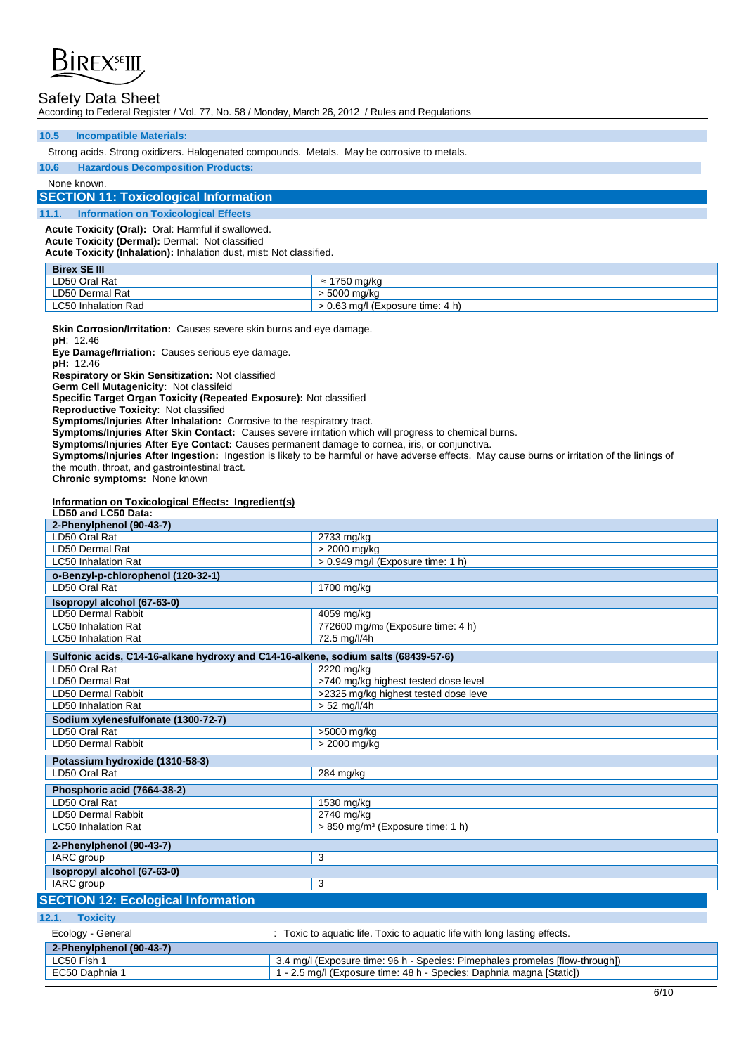

According to Federal Register / Vol. 77, No. 58 / Monday, March 26, 2012 / Rules and Regulations

## **10.5 Incompatible Materials:**

Strong acids. Strong oxidizers. Halogenated compounds. Metals. May be corrosive to metals.

**10.6 Hazardous Decomposition Products:** 

None known.

## **SECTION 11: Toxicological Information**

**11.1. Information on Toxicological Effects** 

**Acute Toxicity (Oral):** Oral: Harmful if swallowed.

**Acute Toxicity (Dermal):** Dermal: Not classified

**Acute Toxicity (Inhalation):** Inhalation dust, mist: Not classified.

| <b>Birex SE III</b>        |                                |
|----------------------------|--------------------------------|
| LD50 Oral Rat              | `750 mg/kg                     |
| LD50 Dermal Rat            | 5000 ma/ka                     |
| <b>LC50 Inhalation Rad</b> | 0.63 mg/l (Exposure time: 4 h) |

**Skin Corrosion/Irritation:** Causes severe skin burns and eye damage.

**pH**: 12.46

**Eye Damage/Irriation:** Causes serious eye damage.

**pH:** 12.46

**Respiratory or Skin Sensitization:** Not classified

**Germ Cell Mutagenicity:** Not classifeid

**Specific Target Organ Toxicity (Repeated Exposure):** Not classified

**Reproductive Toxicity**: Not classified

**Symptoms/Injuries After Inhalation:** Corrosive to the respiratory tract.

**Symptoms/Injuries After Skin Contact:** Causes severe irritation which will progress to chemical burns.

**Symptoms/Injuries After Eye Contact:** Causes permanent damage to cornea, iris, or conjunctiva.

**Symptoms/Injuries After Ingestion:** Ingestion is likely to be harmful or have adverse effects. May cause burns or irritation of the linings of the mouth, throat, and gastrointestinal tract.

**Chronic symptoms:** None known

## **Information on Toxicological Effects: Ingredient(s)**

| LD50 and LC50 Data:                                                                |                                                                              |
|------------------------------------------------------------------------------------|------------------------------------------------------------------------------|
| 2-Phenylphenol (90-43-7)                                                           |                                                                              |
| LD50 Oral Rat                                                                      | 2733 mg/kg                                                                   |
| LD50 Dermal Rat                                                                    | > 2000 mg/kg                                                                 |
| <b>LC50 Inhalation Rat</b>                                                         | > 0.949 mg/l (Exposure time: 1 h)                                            |
| o-Benzyl-p-chlorophenol (120-32-1)                                                 |                                                                              |
| LD50 Oral Rat                                                                      | 1700 mg/kg                                                                   |
| Isopropyl alcohol (67-63-0)                                                        |                                                                              |
| LD50 Dermal Rabbit                                                                 | 4059 mg/kg                                                                   |
| <b>LC50 Inhalation Rat</b>                                                         | 772600 mg/m <sub>3</sub> (Exposure time: 4 h)                                |
| <b>LC50 Inhalation Rat</b>                                                         | 72.5 mg/l/4h                                                                 |
| Sulfonic acids, C14-16-alkane hydroxy and C14-16-alkene, sodium salts (68439-57-6) |                                                                              |
| LD50 Oral Rat                                                                      | 2220 mg/kg                                                                   |
| <b>LD50 Dermal Rat</b>                                                             | >740 mg/kg highest tested dose level                                         |
| LD50 Dermal Rabbit                                                                 | >2325 mg/kg highest tested dose leve                                         |
| <b>LD50 Inhalation Rat</b>                                                         | $> 52$ mg/l/4h                                                               |
| Sodium xylenesfulfonate (1300-72-7)                                                |                                                                              |
| LD50 Oral Rat                                                                      | >5000 mg/kg                                                                  |
| <b>LD50 Dermal Rabbit</b>                                                          | > 2000 mg/kg                                                                 |
| Potassium hydroxide (1310-58-3)                                                    |                                                                              |
| LD50 Oral Rat                                                                      | 284 mg/kg                                                                    |
| Phosphoric acid (7664-38-2)                                                        |                                                                              |
| LD50 Oral Rat                                                                      | 1530 mg/kg                                                                   |
| <b>LD50 Dermal Rabbit</b>                                                          | 2740 mg/kg                                                                   |
| <b>LC50 Inhalation Rat</b>                                                         | > 850 mg/m <sup>3</sup> (Exposure time: 1 h)                                 |
| 2-Phenylphenol (90-43-7)                                                           |                                                                              |
| IARC group                                                                         | 3                                                                            |
| Isopropyl alcohol (67-63-0)                                                        |                                                                              |
| IARC group                                                                         | 3                                                                            |
| <b>SECTION 12: Ecological Information</b>                                          |                                                                              |
| 12.1.<br><b>Toxicity</b>                                                           |                                                                              |
| Ecology - General                                                                  | : Toxic to aquatic life. Toxic to aquatic life with long lasting effects.    |
| 2-Phenylphenol (90-43-7)                                                           |                                                                              |
| LC50 Fish 1                                                                        | 3.4 mg/l (Exposure time: 96 h - Species: Pimephales promelas [flow-through]) |
| EC50 Daphnia 1                                                                     | 1 - 2.5 mg/l (Exposure time: 48 h - Species: Daphnia magna [Static])         |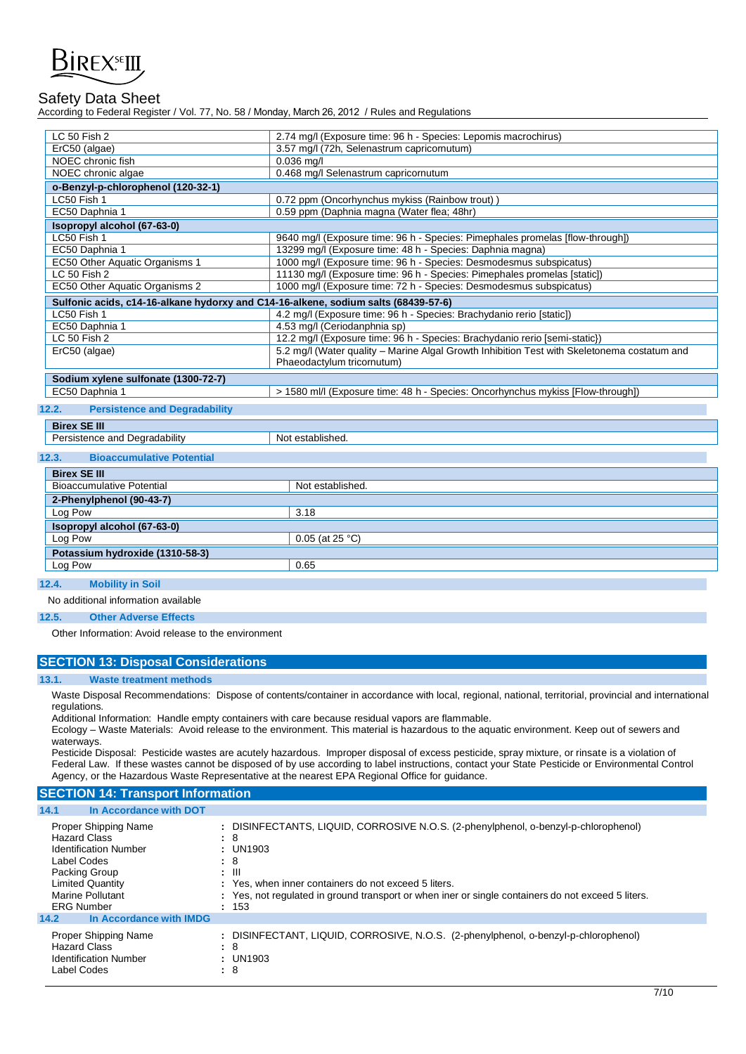

According to Federal Register / Vol. 77, No. 58 / Monday, March 26, 2012 / Rules and Regulations

| <b>LC 50 Fish 2</b>                                                                | 2.74 mg/l (Exposure time: 96 h - Species: Lepomis macrochirus)                              |  |  |
|------------------------------------------------------------------------------------|---------------------------------------------------------------------------------------------|--|--|
| ErC50 (algae)                                                                      | 3.57 mg/l (72h, Selenastrum capricornutum)                                                  |  |  |
| NOEC chronic fish<br>$0.036$ mg/l                                                  |                                                                                             |  |  |
| NOEC chronic algae                                                                 | 0.468 mg/l Selenastrum capricornutum                                                        |  |  |
| o-Benzyl-p-chlorophenol (120-32-1)                                                 |                                                                                             |  |  |
| LC50 Fish 1                                                                        | 0.72 ppm (Oncorhynchus mykiss (Rainbow trout)                                               |  |  |
| EC50 Daphnia 1                                                                     | 0.59 ppm (Daphnia magna (Water flea; 48hr)                                                  |  |  |
| Isopropyl alcohol (67-63-0)                                                        |                                                                                             |  |  |
| LC50 Fish 1                                                                        | 9640 mg/l (Exposure time: 96 h - Species: Pimephales promelas [flow-through])               |  |  |
| EC50 Daphnia 1                                                                     | 13299 mg/l (Exposure time: 48 h - Species: Daphnia magna)                                   |  |  |
| EC50 Other Aquatic Organisms 1                                                     | 1000 mg/l (Exposure time: 96 h - Species: Desmodesmus subspicatus)                          |  |  |
| LC 50 Fish 2                                                                       | 11130 mg/l (Exposure time: 96 h - Species: Pimephales promelas [static])                    |  |  |
| EC50 Other Aquatic Organisms 2                                                     | 1000 mg/l (Exposure time: 72 h - Species: Desmodesmus subspicatus)                          |  |  |
| Sulfonic acids, c14-16-alkane hydorxy and C14-16-alkene, sodium salts (68439-57-6) |                                                                                             |  |  |
| LC50 Fish 1                                                                        | 4.2 mg/l (Exposure time: 96 h - Species: Brachydanio rerio [static])                        |  |  |
| EC50 Daphnia 1                                                                     | 4.53 mg/l (Ceriodanphnia sp)                                                                |  |  |
| LC 50 Fish 2                                                                       | 12.2 mg/l (Exposure time: 96 h - Species: Brachydanio rerio [semi-static})                  |  |  |
| ErC50 (algae)                                                                      | 5.2 mg/l (Water quality – Marine Algal Growth Inhibition Test with Skeletonema costatum and |  |  |
|                                                                                    | Phaeodactylum tricornutum)                                                                  |  |  |
| Sodium xylene sulfonate (1300-72-7)                                                |                                                                                             |  |  |
| EC50 Daphnia 1                                                                     | > 1580 ml/l (Exposure time: 48 h - Species: Oncorhynchus mykiss [Flow-through])             |  |  |
| <b>Persistence and Degradability</b><br>12.2.                                      |                                                                                             |  |  |
|                                                                                    |                                                                                             |  |  |
| <b>Birex SE III</b>                                                                |                                                                                             |  |  |
| Persistence and Degradability                                                      | Not established.                                                                            |  |  |
| 12.3.<br><b>Bioaccumulative Potential</b>                                          |                                                                                             |  |  |
| <b>Birex SE III</b>                                                                |                                                                                             |  |  |
| <b>Bioaccumulative Potential</b>                                                   | Not established.                                                                            |  |  |
|                                                                                    |                                                                                             |  |  |
| 2-Phenylphenol (90-43-7)                                                           |                                                                                             |  |  |
| Log Pow                                                                            | 3.18                                                                                        |  |  |
| Isopropyl alcohol (67-63-0)                                                        |                                                                                             |  |  |
| Log Pow                                                                            | 0.05 (at 25 °C)                                                                             |  |  |
| Potassium hydroxide (1310-58-3)                                                    |                                                                                             |  |  |
| Log Pow                                                                            | 0.65                                                                                        |  |  |
| 12.4.<br><b>Mobility in Soil</b>                                                   |                                                                                             |  |  |
|                                                                                    |                                                                                             |  |  |

No additional information available

## **12.5. Other Adverse Effects**

Other Information: Avoid release to the environment

## **SECTION 13: Disposal Considerations**

## **13.1. Waste treatment methods**

Waste Disposal Recommendations: Dispose of contents/container in accordance with local, regional, national, territorial, provincial and international regulations.

Additional Information: Handle empty containers with care because residual vapors are flammable.

Ecology – Waste Materials: Avoid release to the environment. This material is hazardous to the aquatic environment. Keep out of sewers and waterways.

Pesticide Disposal: Pesticide wastes are acutely hazardous. Improper disposal of excess pesticide, spray mixture, or rinsate is a violation of Federal Law. If these wastes cannot be disposed of by use according to label instructions, contact your State Pesticide or Environmental Control Agency, or the Hazardous Waste Representative at the nearest EPA Regional Office for guidance.

## **SECTION 14: Transport Information**

| In Accordance with DOT<br>14.1  |                                                                                                    |
|---------------------------------|----------------------------------------------------------------------------------------------------|
| Proper Shipping Name            | : DISINFECTANTS, LIQUID, CORROSIVE N.O.S. (2-phenylphenol, o-benzyl-p-chlorophenol)                |
| <b>Hazard Class</b>             | : 8                                                                                                |
| <b>Identification Number</b>    | : UN1903                                                                                           |
| Label Codes                     | : 8                                                                                                |
| Packing Group                   | $\therefore$ III                                                                                   |
| <b>Limited Quantity</b>         | : Yes, when inner containers do not exceed 5 liters.                                               |
| <b>Marine Pollutant</b>         | : Yes, not regulated in ground transport or when iner or single containers do not exceed 5 liters. |
| <b>ERG Number</b>               | : 153                                                                                              |
| In Accordance with IMDG<br>14.2 |                                                                                                    |
| Proper Shipping Name            | : DISINFECTANT, LIQUID, CORROSIVE, N.O.S. (2-phenylphenol, o-benzyl-p-chlorophenol)                |
| <b>Hazard Class</b>             | : 8                                                                                                |
| <b>Identification Number</b>    | : UN1903                                                                                           |
| Label Codes                     | : 8                                                                                                |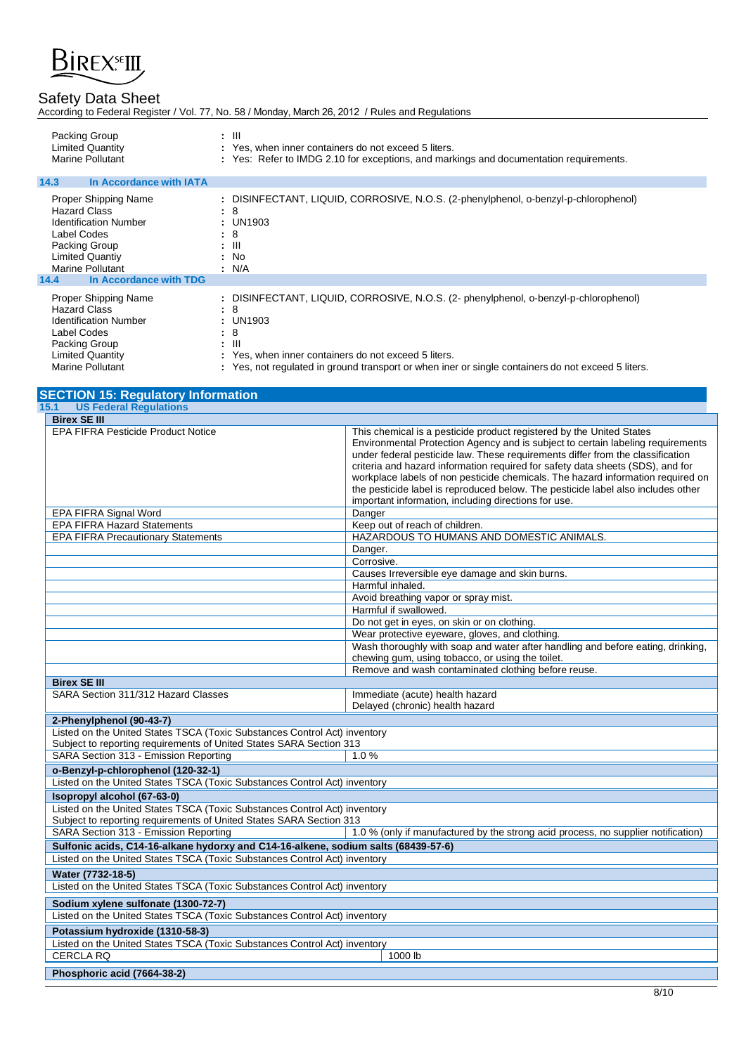

|  |  | According to Federal Register / Vol. 77, No. 58 / Monday, March 26, 2012 / Rules and Regulations |  |
|--|--|--------------------------------------------------------------------------------------------------|--|
|  |  |                                                                                                  |  |

| Packing Group           | : III                                                                                  |  |
|-------------------------|----------------------------------------------------------------------------------------|--|
| <b>Limited Quantity</b> | : Yes, when inner containers do not exceed 5 liters.                                   |  |
| Marine Pollutant        | : Yes: Refer to IMDG 2.10 for exceptions, and markings and documentation requirements. |  |

| 14.3<br>In Accordance with IATA |                                                                                      |
|---------------------------------|--------------------------------------------------------------------------------------|
| <b>Proper Shipping Name</b>     | : DISINFECTANT, LIQUID, CORROSIVE, N.O.S. (2-phenylphenol, o-benzyl-p-chlorophenol)  |
| <b>Hazard Class</b>             | : 8                                                                                  |
| <b>Identification Number</b>    | : UN1903                                                                             |
| Label Codes                     | : 8                                                                                  |
| Packing Group                   | $\pm$ 111                                                                            |
| <b>Limited Quantiy</b>          | : No                                                                                 |
| Marine Pollutant                | : N/A                                                                                |
| In Accordance with TDG<br>14.4  |                                                                                      |
| <b>Proper Shipping Name</b>     | : DISINFECTANT, LIQUID, CORROSIVE, N.O.S. (2- phenylphenol, o-benzyl-p-chlorophenol) |
| <b>Hazard Class</b>             | $\therefore$ 8                                                                       |
| <b>Identification Number</b>    | : UN1903                                                                             |
| Label Codes                     | : 8                                                                                  |
| Packing Group                   | $\pm$ 111                                                                            |

: Yes, when inner containers do not exceed 5 liters. Marine Pollutant **included in ground transport** or when iner or single containers do not exceed 5 liters.

|  |  | Yes, not regulated in ground transport or when iner or single containers do not exceed 5 liters. |  |
|--|--|--------------------------------------------------------------------------------------------------|--|
|  |  |                                                                                                  |  |

| <b>SECTION 15: Regulatory Information</b>                                                                                                        |                                                                                                                                                                                                                                                                                                                                                                                                                                                                                                                                                            |
|--------------------------------------------------------------------------------------------------------------------------------------------------|------------------------------------------------------------------------------------------------------------------------------------------------------------------------------------------------------------------------------------------------------------------------------------------------------------------------------------------------------------------------------------------------------------------------------------------------------------------------------------------------------------------------------------------------------------|
| <b>US Federal Regulations</b><br>15.1                                                                                                            |                                                                                                                                                                                                                                                                                                                                                                                                                                                                                                                                                            |
| <b>Birex SE III</b>                                                                                                                              |                                                                                                                                                                                                                                                                                                                                                                                                                                                                                                                                                            |
| <b>EPA FIFRA Pesticide Product Notice</b>                                                                                                        | This chemical is a pesticide product registered by the United States<br>Environmental Protection Agency and is subject to certain labeling requirements<br>under federal pesticide law. These requirements differ from the classification<br>criteria and hazard information required for safety data sheets (SDS), and for<br>workplace labels of non pesticide chemicals. The hazard information required on<br>the pesticide label is reproduced below. The pesticide label also includes other<br>important information, including directions for use. |
| EPA FIFRA Signal Word                                                                                                                            | Danger                                                                                                                                                                                                                                                                                                                                                                                                                                                                                                                                                     |
| <b>EPA FIFRA Hazard Statements</b>                                                                                                               | Keep out of reach of children.                                                                                                                                                                                                                                                                                                                                                                                                                                                                                                                             |
| <b>EPA FIFRA Precautionary Statements</b>                                                                                                        | HAZARDOUS TO HUMANS AND DOMESTIC ANIMALS.                                                                                                                                                                                                                                                                                                                                                                                                                                                                                                                  |
|                                                                                                                                                  | Danger.                                                                                                                                                                                                                                                                                                                                                                                                                                                                                                                                                    |
|                                                                                                                                                  | Corrosive.                                                                                                                                                                                                                                                                                                                                                                                                                                                                                                                                                 |
|                                                                                                                                                  | Causes Irreversible eye damage and skin burns.                                                                                                                                                                                                                                                                                                                                                                                                                                                                                                             |
|                                                                                                                                                  | Harmful inhaled.                                                                                                                                                                                                                                                                                                                                                                                                                                                                                                                                           |
|                                                                                                                                                  | Avoid breathing vapor or spray mist.                                                                                                                                                                                                                                                                                                                                                                                                                                                                                                                       |
|                                                                                                                                                  | Harmful if swallowed.                                                                                                                                                                                                                                                                                                                                                                                                                                                                                                                                      |
|                                                                                                                                                  | Do not get in eyes, on skin or on clothing.                                                                                                                                                                                                                                                                                                                                                                                                                                                                                                                |
|                                                                                                                                                  | Wear protective eyeware, gloves, and clothing.<br>Wash thoroughly with soap and water after handling and before eating, drinking,                                                                                                                                                                                                                                                                                                                                                                                                                          |
|                                                                                                                                                  | chewing gum, using tobacco, or using the toilet.                                                                                                                                                                                                                                                                                                                                                                                                                                                                                                           |
|                                                                                                                                                  | Remove and wash contaminated clothing before reuse.                                                                                                                                                                                                                                                                                                                                                                                                                                                                                                        |
| <b>Birex SE III</b>                                                                                                                              |                                                                                                                                                                                                                                                                                                                                                                                                                                                                                                                                                            |
| SARA Section 311/312 Hazard Classes                                                                                                              | Immediate (acute) health hazard<br>Delayed (chronic) health hazard                                                                                                                                                                                                                                                                                                                                                                                                                                                                                         |
| 2-Phenylphenol (90-43-7)                                                                                                                         |                                                                                                                                                                                                                                                                                                                                                                                                                                                                                                                                                            |
| Listed on the United States TSCA (Toxic Substances Control Act) inventory<br>Subject to reporting requirements of United States SARA Section 313 |                                                                                                                                                                                                                                                                                                                                                                                                                                                                                                                                                            |
| SARA Section 313 - Emission Reporting                                                                                                            | 1.0%                                                                                                                                                                                                                                                                                                                                                                                                                                                                                                                                                       |
| o-Benzyl-p-chlorophenol (120-32-1)                                                                                                               |                                                                                                                                                                                                                                                                                                                                                                                                                                                                                                                                                            |
| Listed on the United States TSCA (Toxic Substances Control Act) inventory                                                                        |                                                                                                                                                                                                                                                                                                                                                                                                                                                                                                                                                            |
| Isopropyl alcohol (67-63-0)                                                                                                                      |                                                                                                                                                                                                                                                                                                                                                                                                                                                                                                                                                            |
| Listed on the United States TSCA (Toxic Substances Control Act) inventory<br>Subject to reporting requirements of United States SARA Section 313 |                                                                                                                                                                                                                                                                                                                                                                                                                                                                                                                                                            |
| SARA Section 313 - Emission Reporting                                                                                                            | 1.0 % (only if manufactured by the strong acid process, no supplier notification)                                                                                                                                                                                                                                                                                                                                                                                                                                                                          |
| Sulfonic acids, C14-16-alkane hydorxy and C14-16-alkene, sodium salts (68439-57-6)                                                               |                                                                                                                                                                                                                                                                                                                                                                                                                                                                                                                                                            |
| Listed on the United States TSCA (Toxic Substances Control Act) inventory                                                                        |                                                                                                                                                                                                                                                                                                                                                                                                                                                                                                                                                            |
| Water (7732-18-5)                                                                                                                                |                                                                                                                                                                                                                                                                                                                                                                                                                                                                                                                                                            |
| Listed on the United States TSCA (Toxic Substances Control Act) inventory                                                                        |                                                                                                                                                                                                                                                                                                                                                                                                                                                                                                                                                            |
| Sodium xylene sulfonate (1300-72-7)                                                                                                              |                                                                                                                                                                                                                                                                                                                                                                                                                                                                                                                                                            |
| Listed on the United States TSCA (Toxic Substances Control Act) inventory                                                                        |                                                                                                                                                                                                                                                                                                                                                                                                                                                                                                                                                            |
| Potassium hydroxide (1310-58-3)                                                                                                                  |                                                                                                                                                                                                                                                                                                                                                                                                                                                                                                                                                            |
| Listed on the United States TSCA (Toxic Substances Control Act) inventory                                                                        |                                                                                                                                                                                                                                                                                                                                                                                                                                                                                                                                                            |
| <b>CERCLA RQ</b>                                                                                                                                 | 1000 lb                                                                                                                                                                                                                                                                                                                                                                                                                                                                                                                                                    |
| Phosphoric acid (7664-38-2)                                                                                                                      |                                                                                                                                                                                                                                                                                                                                                                                                                                                                                                                                                            |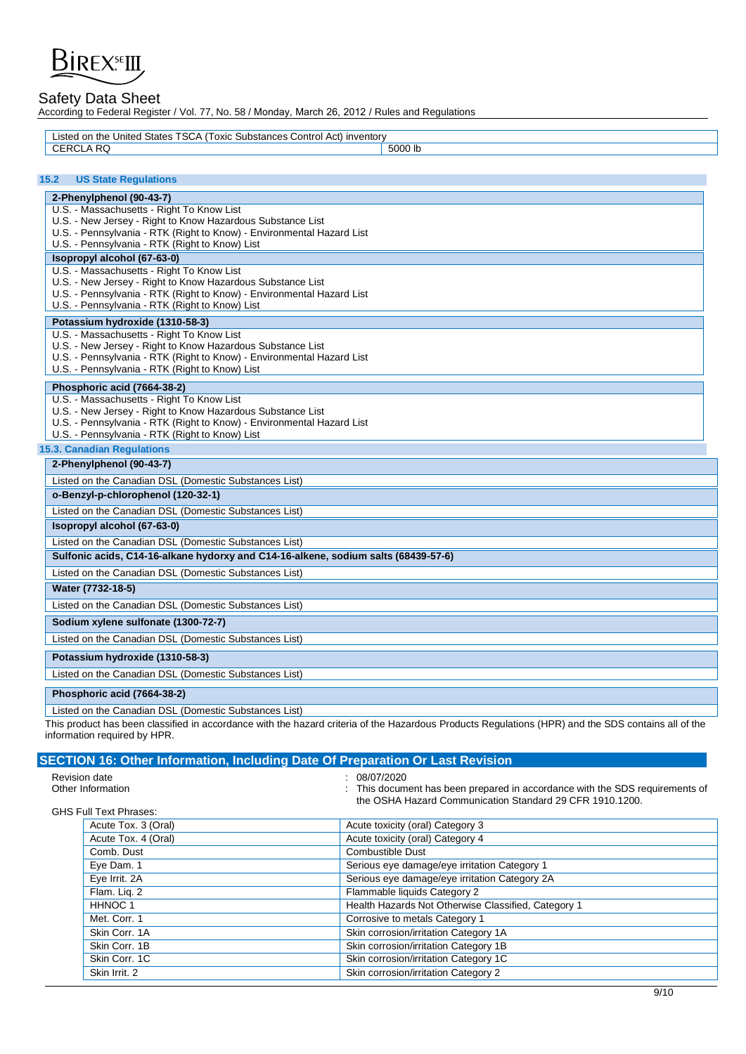

According to Federal Register / Vol. 77, No. 58 / Monday, March 26, 2012 / Rules and Regulations

| d on the United States TSCA<br>'Toxic Substances Control Act) inventory<br>.isted |         |
|-----------------------------------------------------------------------------------|---------|
| D <sub>C</sub><br>ما ۱                                                            | 5000 lb |
|                                                                                   |         |

## **15.2 US State Regulations**

| 15.2 | <b>US State Regulations</b>                                                        |
|------|------------------------------------------------------------------------------------|
|      | 2-Phenylphenol (90-43-7)                                                           |
|      | U.S. - Massachusetts - Right To Know List                                          |
|      | U.S. - New Jersey - Right to Know Hazardous Substance List                         |
|      | U.S. - Pennsylvania - RTK (Right to Know) - Environmental Hazard List              |
|      | U.S. - Pennsylvania - RTK (Right to Know) List                                     |
|      | Isopropyl alcohol (67-63-0)                                                        |
|      | U.S. - Massachusetts - Right To Know List                                          |
|      | U.S. - New Jersey - Right to Know Hazardous Substance List                         |
|      | U.S. - Pennsylvania - RTK (Right to Know) - Environmental Hazard List              |
|      | U.S. - Pennsylvania - RTK (Right to Know) List                                     |
|      | Potassium hydroxide (1310-58-3)                                                    |
|      | U.S. - Massachusetts - Right To Know List                                          |
|      | U.S. - New Jersey - Right to Know Hazardous Substance List                         |
|      | U.S. - Pennsylvania - RTK (Right to Know) - Environmental Hazard List              |
|      | U.S. - Pennsylvania - RTK (Right to Know) List                                     |
|      | Phosphoric acid (7664-38-2)                                                        |
|      | U.S. - Massachusetts - Right To Know List                                          |
|      | U.S. - New Jersey - Right to Know Hazardous Substance List                         |
|      | U.S. - Pennsylvania - RTK (Right to Know) - Environmental Hazard List              |
|      | U.S. - Pennsylvania - RTK (Right to Know) List                                     |
|      | <b>15.3. Canadian Requlations</b>                                                  |
|      | 2-Phenylphenol (90-43-7)                                                           |
|      | Listed on the Canadian DSL (Domestic Substances List)                              |
|      | o-Benzyl-p-chlorophenol (120-32-1)                                                 |
|      | Listed on the Canadian DSL (Domestic Substances List)                              |
|      | Isopropyl alcohol (67-63-0)                                                        |
|      | Listed on the Canadian DSL (Domestic Substances List)                              |
|      | Sulfonic acids, C14-16-alkane hydorxy and C14-16-alkene, sodium salts (68439-57-6) |
|      |                                                                                    |

**Water (7732-18-5)** 

Listed on the Canadian DSL (Domestic Substances List)

## **Sodium xylene sulfonate (1300-72-7)**

**Potassium hydroxide (1310-58-3)**

Listed on the Canadian DSL (Domestic Substances List)

## Listed on the Canadian DSL (Domestic Substances List)

**Phosphoric acid (7664-38-2)**

Listed on the Canadian DSL (Domestic Substances List)

This product has been classified in accordance with the hazard criteria of the Hazardous Products Regulations (HPR) and the SDS contains all of the information required by HPR.

|               | SECTION 16: Other Information, Including Date Of Preparation Or Last Revision |                                                                                                                                                          |
|---------------|-------------------------------------------------------------------------------|----------------------------------------------------------------------------------------------------------------------------------------------------------|
| Revision date | Other Information                                                             | : 08/07/2020<br>: This document has been prepared in accordance with the SDS requirements of<br>the OSHA Hazard Communication Standard 29 CFR 1910.1200. |
|               | <b>GHS Full Text Phrases:</b>                                                 |                                                                                                                                                          |
|               | Acute Tox. 3 (Oral)                                                           | Acute toxicity (oral) Category 3                                                                                                                         |
|               | Acute Tox. 4 (Oral)                                                           | Acute toxicity (oral) Category 4                                                                                                                         |
|               | Comb. Dust                                                                    | <b>Combustible Dust</b>                                                                                                                                  |
|               | Eye Dam. 1                                                                    | Serious eye damage/eye irritation Category 1                                                                                                             |
|               | Eye Irrit. 2A                                                                 | Serious eye damage/eye irritation Category 2A                                                                                                            |
|               | Flam. Lig. 2                                                                  | Flammable liquids Category 2                                                                                                                             |
|               | HHNOC 1                                                                       | Health Hazards Not Otherwise Classified, Category 1                                                                                                      |
|               | Met. Corr. 1                                                                  | Corrosive to metals Category 1                                                                                                                           |
|               | Skin Corr, 1A                                                                 | Skin corrosion/irritation Category 1A                                                                                                                    |
|               | Skin Corr, 1B                                                                 | Skin corrosion/irritation Category 1B                                                                                                                    |
|               | Skin Corr, 1C                                                                 | Skin corrosion/irritation Category 1C                                                                                                                    |
|               | Skin Irrit, 2                                                                 | Skin corrosion/irritation Category 2                                                                                                                     |